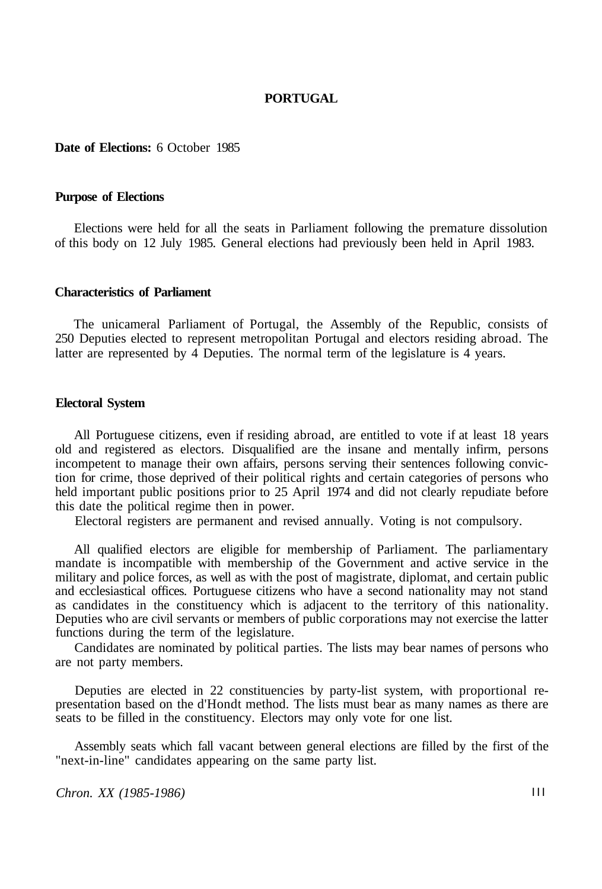### **PORTUGAL**

#### **Date of Elections:** 6 October 1985

### **Purpose of Elections**

Elections were held for all the seats in Parliament following the premature dissolution of this body on 12 July 1985. General elections had previously been held in April 1983.

#### **Characteristics of Parliament**

The unicameral Parliament of Portugal, the Assembly of the Republic, consists of 250 Deputies elected to represent metropolitan Portugal and electors residing abroad. The latter are represented by 4 Deputies. The normal term of the legislature is 4 years.

### **Electoral System**

All Portuguese citizens, even if residing abroad, are entitled to vote if at least 18 years old and registered as electors. Disqualified are the insane and mentally infirm, persons incompetent to manage their own affairs, persons serving their sentences following conviction for crime, those deprived of their political rights and certain categories of persons who held important public positions prior to 25 April 1974 and did not clearly repudiate before this date the political regime then in power.

Electoral registers are permanent and revised annually. Voting is not compulsory.

All qualified electors are eligible for membership of Parliament. The parliamentary mandate is incompatible with membership of the Government and active service in the military and police forces, as well as with the post of magistrate, diplomat, and certain public and ecclesiastical offices. Portuguese citizens who have a second nationality may not stand as candidates in the constituency which is adjacent to the territory of this nationality. Deputies who are civil servants or members of public corporations may not exercise the latter functions during the term of the legislature.

Candidates are nominated by political parties. The lists may bear names of persons who are not party members.

Deputies are elected in 22 constituencies by party-list system, with proportional representation based on the d'Hondt method. The lists must bear as many names as there are seats to be filled in the constituency. Electors may only vote for one list.

Assembly seats which fall vacant between general elections are filled by the first of the "next-in-line" candidates appearing on the same party list.

*Chron. XX (1985-1986)* **III**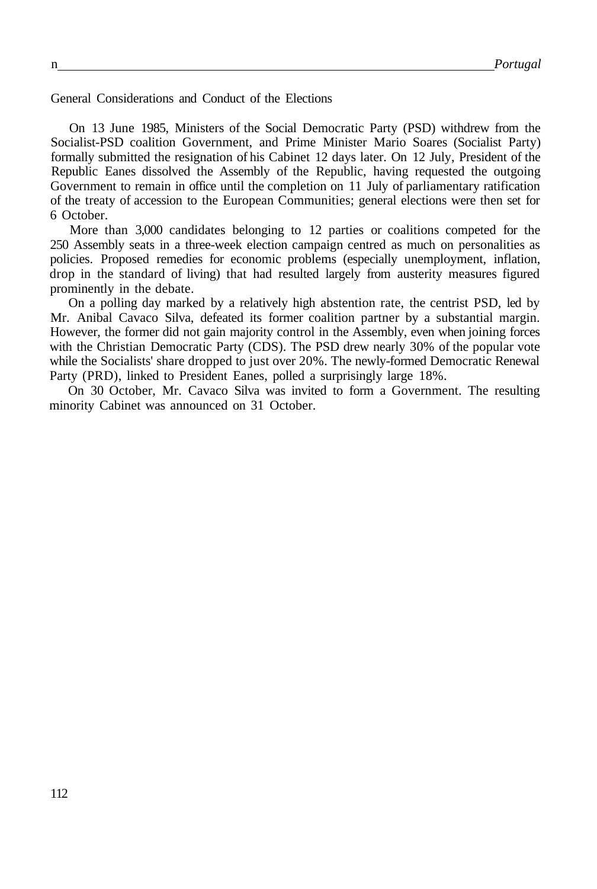General Considerations and Conduct of the Elections

On 13 June 1985, Ministers of the Social Democratic Party (PSD) withdrew from the Socialist-PSD coalition Government, and Prime Minister Mario Soares (Socialist Party) formally submitted the resignation of his Cabinet 12 days later. On 12 July, President of the Republic Eanes dissolved the Assembly of the Republic, having requested the outgoing Government to remain in office until the completion on 11 July of parliamentary ratification of the treaty of accession to the European Communities; general elections were then set for 6 October.

More than 3,000 candidates belonging to 12 parties or coalitions competed for the 250 Assembly seats in a three-week election campaign centred as much on personalities as policies. Proposed remedies for economic problems (especially unemployment, inflation, drop in the standard of living) that had resulted largely from austerity measures figured prominently in the debate.

On a polling day marked by a relatively high abstention rate, the centrist PSD, led by Mr. Anibal Cavaco Silva, defeated its former coalition partner by a substantial margin. However, the former did not gain majority control in the Assembly, even when joining forces with the Christian Democratic Party (CDS). The PSD drew nearly 30% of the popular vote while the Socialists' share dropped to just over 20%. The newly-formed Democratic Renewal Party (PRD), linked to President Eanes, polled a surprisingly large 18%.

On 30 October, Mr. Cavaco Silva was invited to form a Government. The resulting minority Cabinet was announced on 31 October.